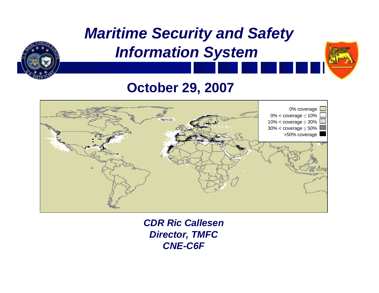

#### **October 29, 2007**



*CDR Ric Callesen Director, TMFC CNE-C6F*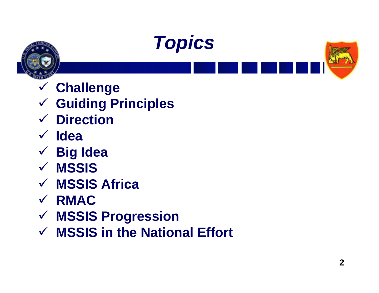





- 9 **Challenge**
- 9 **Guiding Principles**
- 9 **Direction**
- 9 **Idea**
- 9 **Big Idea**
- 9 **MSSIS**
- 9 **MSSIS Africa**
- 9 **RMAC**
- 9 **MSSIS Progression**
- 9 **MSSIS in the National Effort**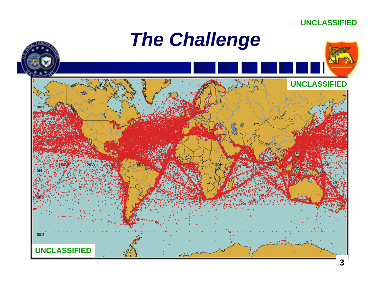

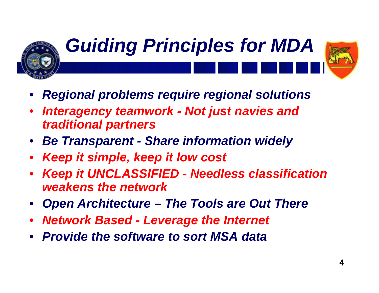

# *Guiding Principles for MDA*

- 
- *Regional problems require regional solutions*
- *Interagency teamwork Not just navies and traditional partners*
- *Be Transparent Share information widely*
- *Keep it simple, keep it low cost*
- *Keep it UNCLASSIFIED Needless classification weakens the network*
- *Open Architecture The Tools are Out There*
- *Network Based Leverage the Internet*
- *Provide the software to sort MSA data*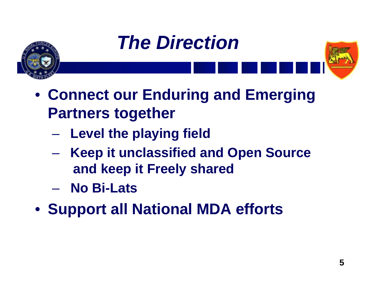





- **Connect our Enduring and Emerging Partners together**
	- **Level the playing field**
	- **Keep it unclassified and Open Source and keep it Freely shared**
	- **No Bi-Lats**
- **Support all National MDA efforts**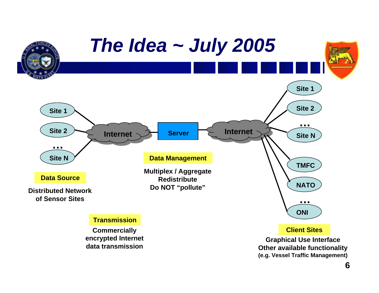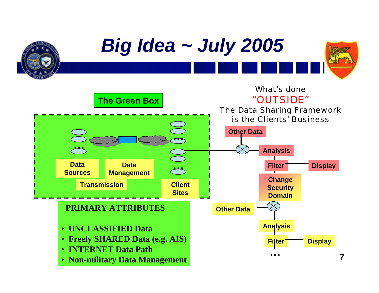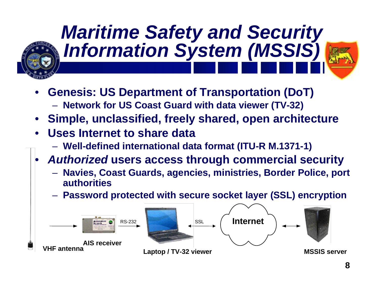

## *Maritime Safety and Security Information System (MSSIS)*

- 
- **Genesis: US Department of Transportation (DoT)** – **Network for US Coast Guard with data viewer (TV-32)**
- **Simple, unclassified, freely shared, open architecture**
- **Uses Internet to share data**
	- **Well-defined international data format (ITU-R M.1371-1)**
- *Authorized* **users access through commercial security** 
	- **Navies, Coast Guards, agencies, ministries, Border Police, port authorities**
	- **Password protected with secure socket layer (SSL) encryption**

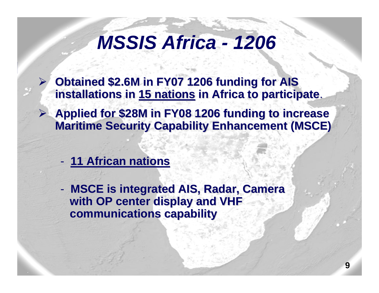### *MSSIS Africa - 1206*

- ¾**Obtained \$2.6M in FY07 1206 funding for AIS installations in installations in 15 nations 15 nations in Africa to participate in Africa to participate**.
- **▶ Applied for \$28M in FY08 1206 funding to increase Maritime Security Capability Enhancement (MSCE)** 
	- **11 African nations 11 African nations**

-**MSCE is integrated AIS, Radar, Camera with OP center display and VHF with OP center display and VHF communications capability communications capability**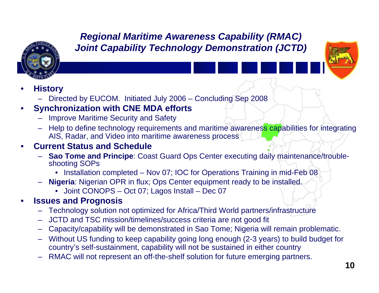

#### *Regional Maritime Awareness Capability (RMAC) Joint Capability Technology Demonstration (JCTD)*



#### • **History**

– Directed by EUCOM. Initiated July 2006 – Concluding Sep 2008

#### • **Synchronization with CNE MDA efforts**

- Improve Maritime Security and Safety
- Help to define technology requirements and maritime awareness capabilities for integrating AIS, Radar, and Video into maritime awareness process

#### • **Current Status and Schedule**

- **Sao Tome and Principe**: Coast Guard Ops Center executing daily maintenance/troubleshooting SOPs
	- Installation completed Nov 07; IOC for Operations Training in mid-Feb 08
- **Nigeria**: Nigerian OPR in flux; Ops Center equipment ready to be installed.
	- Joint CONOPS Oct 07; Lagos Install Dec 07

#### • **Issues and Prognosis**

- Technology solution not optimized for Africa/Third World partners/infrastructure
- JCTD and TSC mission/timelines/success criteria are not good fit
- Capacity/capability will be demonstrated in Sao Tome; Nigeria will remain problematic.
- Without US funding to keep capability going long enough (2-3 years) to build budget for country's self-sustainment, capability will not be sustained in either country
- RMAC will not represent an off-the-shelf solution for future emerging partners.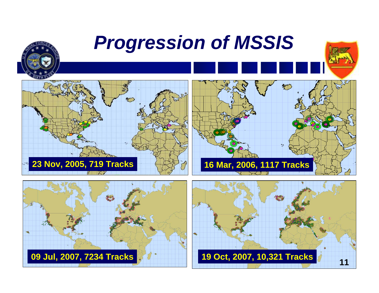



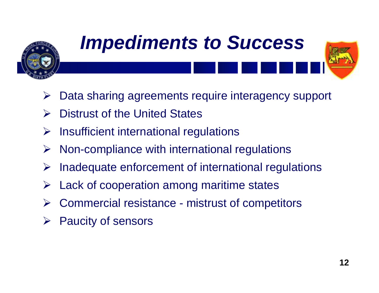

## *Impediments to Success*

- ¾Data sharing agreements require interagency support
- ¾Distrust of the United States
- ¾Insufficient international regulations
- ¾Non-compliance with international regulations
- ¾Inadequate enforcement of international regulations
- ¾Lack of cooperation among maritime states
- ¾Commercial resistance - mistrust of competitors
- ¾Paucity of sensors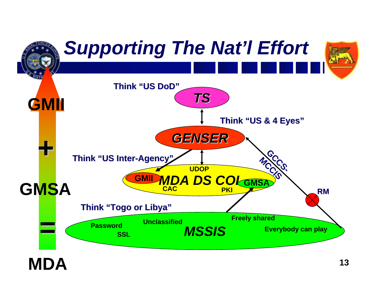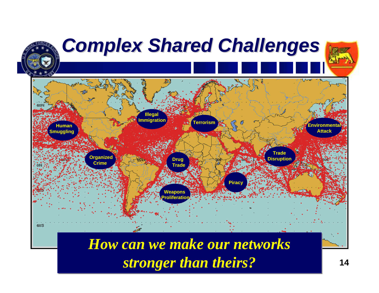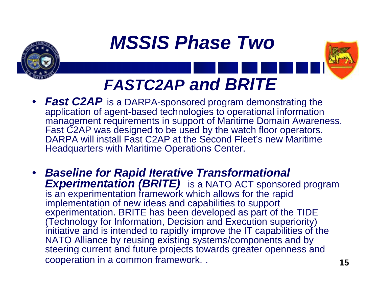



- *Fast C2AP* is a DARPA-sponsored program demonstrating the application of agent-based technologies to operational information management requirements in support of Maritime Domain Awareness. Fast C2AP was designed to be used by the watch floor operators. DARPA will install Fast C2AP at the Second Fleet's new Maritime Headquarters with Maritime Operations Center.
- *Baseline for Rapid Iterative Transformational Experimentation (BRITE)* is a NATO ACT sponsored program is an experimentation framework which allows for the rapid implementation of new ideas and capabilities to support experimentation. BRITE has been developed as part of the TIDE (Technology for Information, Decision and Execution superiority) initiative and is intended to rapidly improve the IT capabilities of the NATO Alliance by reusing existing systems/components and by steering current and future projects towards greater openness and cooperation in a common framework. .